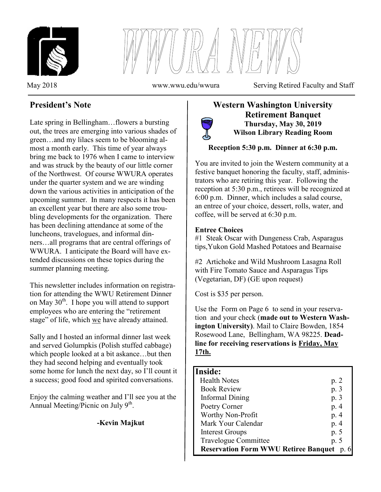



May 2018 www.wwu.edu/wwura Serving Retired Faculty and Staff

# **President's Note**

Late spring in Bellingham…flowers a bursting out, the trees are emerging into various shades of green…and my lilacs seem to be blooming almost a month early. This time of year always bring me back to 1976 when I came to interview and was struck by the beauty of our little corner of the Northwest. Of course WWURA operates under the quarter system and we are winding down the various activities in anticipation of the upcoming summer. In many respects it has been an excellent year but there are also some troubling developments for the organization. There has been declining attendance at some of the luncheons, travelogues, and informal dinners…all programs that are central offerings of WWURA. I anticipate the Board will have extended discussions on these topics during the summer planning meeting.

This newsletter includes information on registration for attending the WWU Retirement Dinner on May  $30<sup>th</sup>$ . I hope you will attend to support employees who are entering the "retirement" stage" of life, which we have already attained.

Sally and I hosted an informal dinner last week and served Golumpkis (Polish stuffed cabbage) which people looked at a bit askance…but then they had second helping and eventually took some home for lunch the next day, so I'll count it a success; good food and spirited conversations.

Enjoy the calming weather and I'll see you at the Annual Meeting/Picnic on July 9<sup>th</sup>.

#### **-Kevin Majkut**

### **Western Washington University Retirement Banquet Thursday, May 30, 2019 Wilson Library Reading Room**

### **Reception 5:30 p.m. Dinner at 6:30 p.m.**

You are invited to join the Western community at a festive banquet honoring the faculty, staff, administrators who are retiring this year. Following the reception at 5:30 p.m., retirees will be recognized at 6:00 p.m. Dinner, which includes a salad course, an entree of your choice, dessert, rolls, water, and coffee, will be served at 6:30 p.m.

#### **Entree Choices**

#1 Steak Oscar with Dungeness Crab, Asparagus tips,Yukon Gold Mashed Potatoes and Bearnaise

#2 Artichoke and Wild Mushroom Lasagna Roll with Fire Tomato Sauce and Asparagus Tips (Vegetarian, DF) (GE upon request)

Cost is \$35 per person.

Use the Form on Page 6 to send in your reservation and your check (**made out to Western Washington University)**. Mail to Claire Bowden, 1854 Rosewood Lane, Bellingham, WA 98225. **Deadline for receiving reservations is Friday, May 17th.**

# **Inside:**

֚֞֘

| <b>Health Notes</b>                       | p. 2 |
|-------------------------------------------|------|
| <b>Book Review</b>                        | p. 3 |
| <b>Informal Dining</b>                    | p. 3 |
| Poetry Corner                             | p. 4 |
| Worthy Non-Profit                         | p. 4 |
| Mark Your Calendar                        | p. 4 |
| <b>Interest Groups</b>                    | p.5  |
| <b>Travelogue Committee</b>               | p. 5 |
| Reservation Form WWU Retiree Banquet p. 6 |      |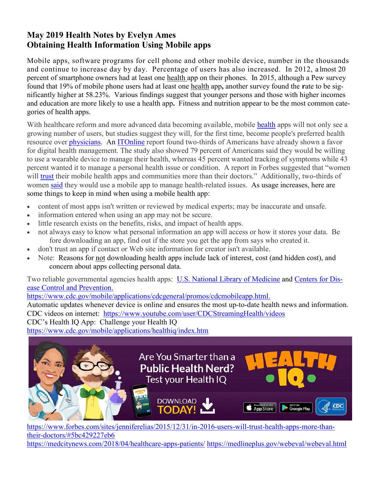# **May 2019 Health Notes by Evelyn Ames Obtaining Health Information Using Mobile apps**

Mobile apps, software programs for cell phone and other mobile device, number in the thousands and continue to increase day by day. Percentage of users has also increased. In 2012, a lmost 20 percent of smartphone owners had at least one health app on their phones. In 2015, although a Pew survey found that 19% of mobile phone users had at least one health app**,** another survey found the **r**ate to be significantly higher at 58.23%. Various findings suggest that younger persons and those with higher incomes and education are more likely to use a health app**.** Fitness and nutrition appear to be the most common categories of health apps.

With [health](http://www.forbes.com/health/)care reform and more advanced data becoming available, mobile health apps will not only see a growing number of users, but studies suggest they will, for the first time, become people's preferred health resource over [physicians.](http://www.forbes.com/sites/jenniferelias/2015/11/30/an-overburdened-physician-system-is-yet-another-obstacle-to-getting-wearables-to-those-who-need-them/) An [ITOnline](http://www.itnonline.com/content/two-thirds-americans-favor-digital-personal-health-management) report found two-thirds of Americans have already shown a favor for digital health management. The study also showed 79 percent of Americans said they would be willing to use a wearable device to manage their health, whereas 45 percent wanted tracking of symptoms while 43 percent wanted it to manage a personal health issue or condition. A report in Forbes suggested that "women" will [trust](http://www.forbes.com/sites/jenniferelias/2015/09/23/wearables-women-apple-watch-fitbit-fitness-tracking-wellness/) their mobile health apps and communities more than their doctors." Additionally, two-thirds of women [said](http://www.prnewswire.com/news-releases/fifth-annual-pulse-of-online-health-survey-finds-66-of-americans-eager-to-leverage-digital-tools-to-manage-personal-health-300039986.html) they would use a mobile app to manage health-related issues. As usage increases, here are some things to keep in mind when using a mobile health app:

- content of most apps isn't written or reviewed by medical experts; may be inaccurate and unsafe.
- information entered when using an app may not be secure.
- little research exists on the benefits, risks, and impact of health apps.
- not always easy to know what personal information an app will access or how it stores your data. Be fore downloading an app, find out if the store you get the app from says who created it.
- don't trust an app if contact or Web site information for creator isn't available.
- Note: Reasons for not downloading health apps include lack of interest, cost (and hidden cost), and concern about apps collecting personal data.

Two reliable governmental agencies health apps: [U.S. National Library of](https://www.nlm.nih.gov/mobile/) Medicine and [Centers for Dis](https://www.cdc.gov/mobile/generalconsumerapps.html)[ease Control and](https://www.cdc.gov/mobile/generalconsumerapps.html) Prevention.

[https://www.cdc.gov/mobile/applications/cdcgeneral/promos/cdcmobileapp.html.](https://www.cdc.gov/mobile/applications/cdcgeneral/promos/cdcmobileapp.html)

Automatic updates whenever device is online and ensures the most up-to-date health news and information. CDC videos on internet: <https://www.youtube.com/user/CDCStreamingHealth/videos>

CDC's Health IQ App: Challenge your Health IQ

<https://www.cdc.gov/mobile/applications/healthiq/index.htm>



[https://www.forbes.com/sites/jenniferelias/2015/12/31/in-2016-users-will-trust-health-apps-more-than](https://www.forbes.com/sites/jenniferelias/2015/12/31/in-2016-users-will-trust-health-apps-more-than-their-doctors/#5bc429227eb6)[their-doctors/#5bc429227eb6](https://www.forbes.com/sites/jenniferelias/2015/12/31/in-2016-users-will-trust-health-apps-more-than-their-doctors/#5bc429227eb6) <https://medcitynews.com/2018/04/healthcare-apps-patients/> <https://medlineplus.gov/webeval/webeval.html>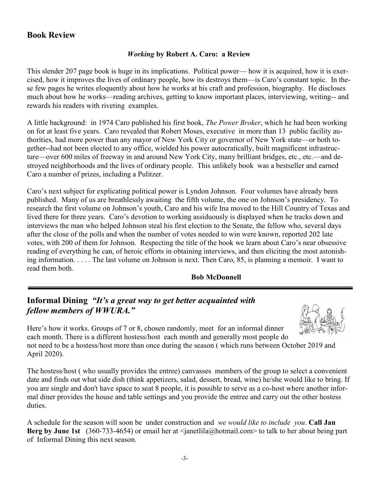# **Book Review**

#### *Working* **by Robert A. Caro: a Review**

This slender 207 page book is huge in its implications. Political power— how it is acquired, how it is exercised, how it improves the lives of ordinary people, how its destroys them—is Caro's constant topic. In these few pages he writes eloquently about how he works at his craft and profession, biography. He discloses much about how he works—reading archives, getting to know important places, interviewing, writing-- and rewards his readers with riveting examples.

A little background: in 1974 Caro published his first book, *The Power Broker*, which he had been working on for at least five years. Caro revealed that Robert Moses, executive in more than 13 public facility authorities, had more power than any mayor of New York City or governor of New York state—or both together--had not been elected to any office, wielded his power autocratically, built magnificent infrastructure—over 600 miles of freeway in and around New York City, many brilliant bridges, etc., etc.—and destroyed neighborhoods and the lives of ordinary people. This unlikely book was a bestseller and earned Caro a number of prizes, including a Pulitzer.

Caro's next subject for explicating political power is Lyndon Johnson. Four volumes have already been published. Many of us are breathlessly awaiting the fifth volume, the one on Johnson's presidency. To research the first volume on Johnson's youth, Caro and his wife Ina moved to the Hill Country of Texas and lived there for three years. Caro's devotion to working assiduously is displayed when he tracks down and interviews the man who helped Johnson steal his first election to the Senate, the fellow who, several days after the close of the polls and when the number of votes needed to win were known, reported 202 late votes, with 200 of them for Johnson. Respecting the title of the book we learn about Caro's near obsessive reading of everything he can, of heroic efforts in obtaining interviews, and then eliciting the most astonishing information. . . . . The last volume on Johnson is next. Then Caro, 85, is planning a memoir. I want to read them both.

#### **Bob McDonnell**

# **Informal Dining** *"It's a great way to get better acquainted with fellow members of WWURA."*

Here's how it works. Groups of 7 or 8, chosen randomly, meet for an informal dinner each month. There is a different hostess/host each month and generally most people do not need to be a hostess/host more than once during the season ( which runs between October 2019 and April 2020).

The hostess/host ( who usually provides the entree) canvasses members of the group to select a convenient date and finds out what side dish (think appetizers, salad, dessert, bread, wine) he/she would like to bring. If you are single and don't have space to seat 8 people, it is possible to serve as a co-host where another informal diner provides the house and table settings and you provide the entree and carry out the other hostess duties.

A schedule for the season will soon be under construction and *we would like to include you*. **Call Jan Berg by June 1st** (360-733-4654) or email her at <janetlila@hotmail.com> to talk to her about being part of Informal Dining this next season.

-3-

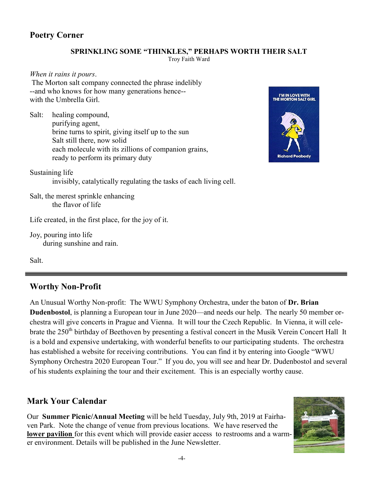# **Poetry Corner**

#### **SPRINKLING SOME "THINKLES," PERHAPS WORTH THEIR SALT**

Troy Faith Ward

*When it rains it pours*. The Morton salt company connected the phrase indelibly --and who knows for how many generations hence- with the Umbrella Girl.

Salt: healing compound, purifying agent, brine turns to spirit, giving itself up to the sun Salt still there, now solid each molecule with its zillions of companion grains, ready to perform its primary duty



Sustaining life invisibly, catalytically regulating the tasks of each living cell.

Salt, the merest sprinkle enhancing the flavor of life

Life created, in the first place, for the joy of it.

Joy, pouring into life during sunshine and rain.

Salt.

# **Worthy Non-Profit**

An Unusual Worthy Non-profit: The WWU Symphony Orchestra, under the baton of **Dr. Brian Dudenbostol**, is planning a European tour in June 2020—and needs our help. The nearly 50 member orchestra will give concerts in Prague and Vienna. It will tour the Czech Republic. In Vienna, it will celebrate the 250<sup>th</sup> birthday of Beethoven by presenting a festival concert in the Musik Verein Concert Hall It is a bold and expensive undertaking, with wonderful benefits to our participating students. The orchestra has established a website for receiving contributions. You can find it by entering into Google "WWU Symphony Orchestra 2020 European Tour." If you do, you will see and hear Dr. Dudenbostol and several of his students explaining the tour and their excitement. This is an especially worthy cause.

# **Mark Your Calendar**

Our **Summer Picnic/Annual Meeting** will be held Tuesday, July 9th, 2019 at Fairhaven Park. Note the change of venue from previous locations. We have reserved the **lower pavilion** for this event which will provide easier access to restrooms and a warmer environment. Details will be published in the June Newsletter.

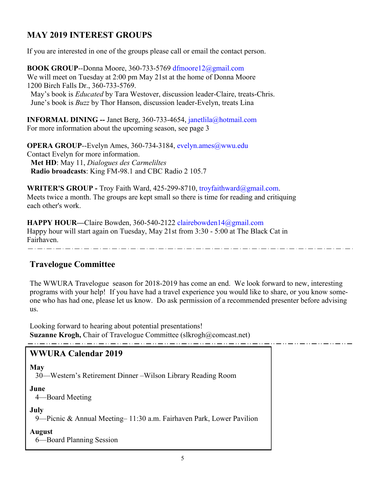# **MAY 2019 INTEREST GROUPS**

If you are interested in one of the groups please call or email the contact person.

**BOOK GROUP**--Donna Moore, 360-733-5769 dfmoore12@gmail.com We will meet on Tuesday at 2:00 pm May 21st at the home of Donna Moore 1200 Birch Falls Dr., 360-733-5769. May's book is *Educated* by Tara Westover, discussion leader-Claire, treats-Chris. June's book is *Buzz* by Thor Hanson, discussion leader-Evelyn, treats Lina

**INFORMAL DINING --** Janet Berg, 360-733-4654, janetlila@hotmail.com For more information about the upcoming season, see page 3

**OPERA GROUP--Evelyn Ames, 360-734-3184, evelyn.ames@wwu.edu** Contact Evelyn for more information.  **Met HD**: May 11, *Dialogues des Carmeliltes*  **Radio broadcasts**: King FM-98.1 and CBC Radio 2 105.7

**WRITER'S GROUP -** Troy Faith Ward, 425-299-8710, troyfaithward@gmail.com. Meets twice a month. The groups are kept small so there is time for reading and critiquing each other's work.

**HAPPY HOUR—**Claire Bowden, 360-540-2122 clairebowden14@gmail.com Happy hour will start again on Tuesday, May 21st from 3:30 - 5:00 at The Black Cat in Fairhaven.

# **Travelogue Committee**

The WWURA Travelogue season for 2018-2019 has come an end. We look forward to new, interesting programs with your help! If you have had a travel experience you would like to share, or you know someone who has had one, please let us know. Do ask permission of a recommended presenter before advising us.

Looking forward to hearing about potential presentations! **Suzanne Krogh, Chair of Travelogue Committee (slkrogh@comcast.net)** والمساور سواريس والمساور سواري سواريس والموارد سواريس والموارد سواريس والموارد سواريس والموارد سواريس والموارد

# **WWURA Calendar 2019**

# **May**

30—Western's Retirement Dinner –Wilson Library Reading Room

#### **June**

4—Board Meeting

#### **July**

9—Picnic & Annual Meeting– 11:30 a.m. Fairhaven Park, Lower Pavilion

**August**

6—Board Planning Session